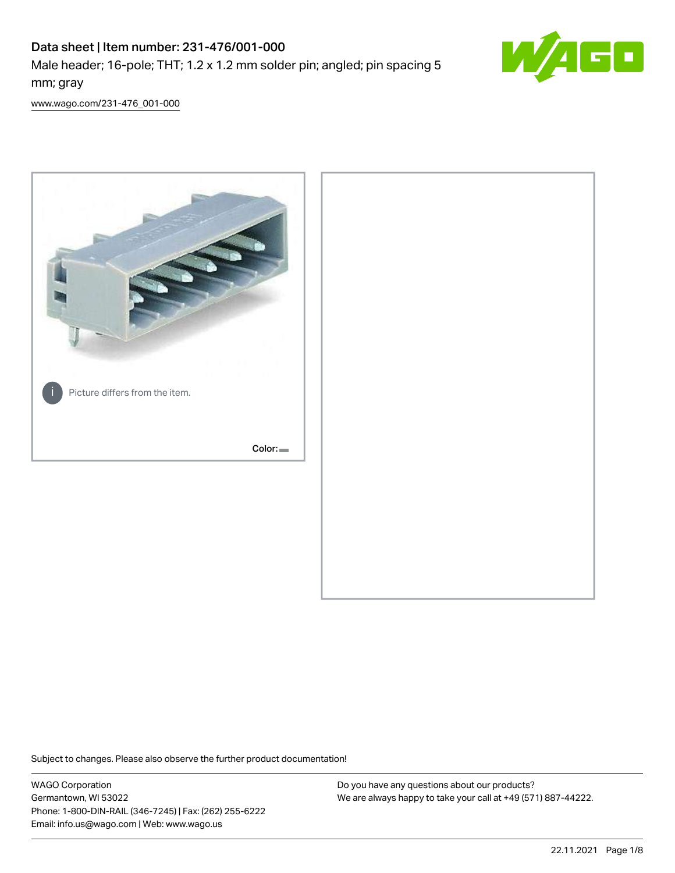# Data sheet | Item number: 231-476/001-000

Male header; 16-pole; THT; 1.2 x 1.2 mm solder pin; angled; pin spacing 5 mm; gray



[www.wago.com/231-476\\_001-000](http://www.wago.com/231-476_001-000)



Subject to changes. Please also observe the further product documentation!

WAGO Corporation Germantown, WI 53022 Phone: 1-800-DIN-RAIL (346-7245) | Fax: (262) 255-6222 Email: info.us@wago.com | Web: www.wago.us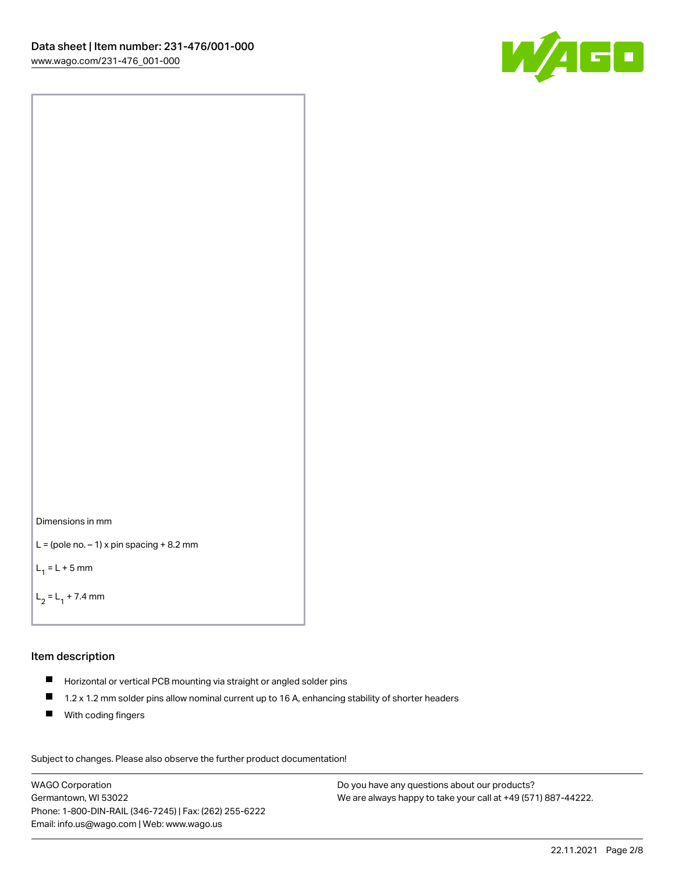



```
L = (pole no. -1) x pin spacing +8.2 mm
```
 $L_1 = L + 5$  mm

```
L_2 = L_1 + 7.4 mm
```
#### Item description

- Horizontal or vertical PCB mounting via straight or angled solder pins
- $\blacksquare$ 1.2 x 1.2 mm solder pins allow nominal current up to 16 A, enhancing stability of shorter headers
- **With coding fingers**

Subject to changes. Please also observe the further product documentation! Data

WAGO Corporation Germantown, WI 53022 Phone: 1-800-DIN-RAIL (346-7245) | Fax: (262) 255-6222 Email: info.us@wago.com | Web: www.wago.us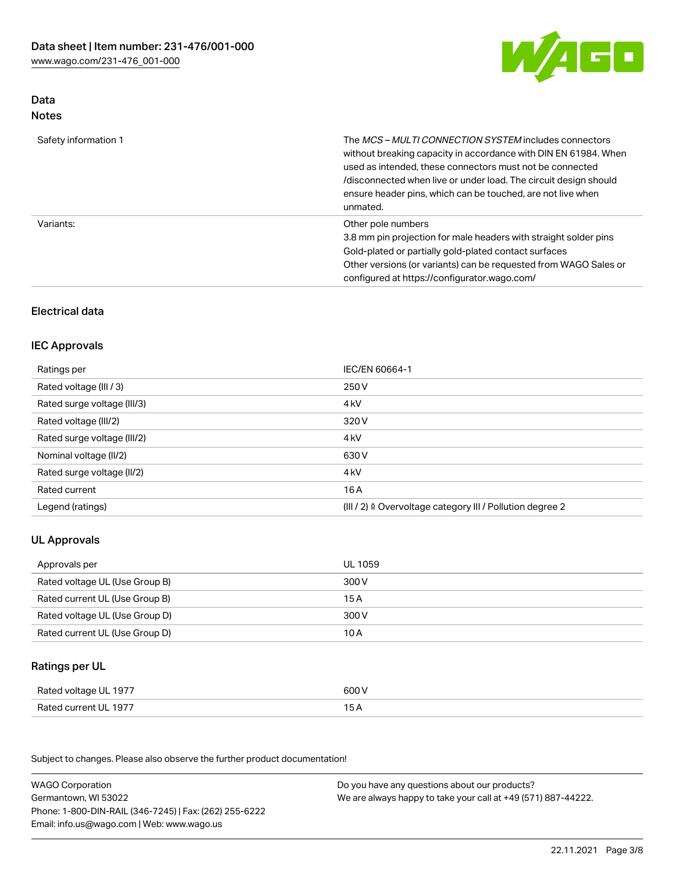

## Data Notes

| Safety information 1 | The <i>MCS – MULTI CONNECTION SYSTEM</i> includes connectors<br>without breaking capacity in accordance with DIN EN 61984. When<br>used as intended, these connectors must not be connected<br>/disconnected when live or under load. The circuit design should<br>ensure header pins, which can be touched, are not live when<br>unmated. |
|----------------------|--------------------------------------------------------------------------------------------------------------------------------------------------------------------------------------------------------------------------------------------------------------------------------------------------------------------------------------------|
| Variants:            | Other pole numbers<br>3.8 mm pin projection for male headers with straight solder pins<br>Gold-plated or partially gold-plated contact surfaces<br>Other versions (or variants) can be requested from WAGO Sales or<br>configured at https://configurator.wago.com/                                                                        |

# Electrical data

# IEC Approvals

| Ratings per                 | IEC/EN 60664-1                                                        |
|-----------------------------|-----------------------------------------------------------------------|
| Rated voltage (III / 3)     | 250 V                                                                 |
| Rated surge voltage (III/3) | 4 <sub>k</sub> V                                                      |
| Rated voltage (III/2)       | 320 V                                                                 |
| Rated surge voltage (III/2) | 4 <sub>kV</sub>                                                       |
| Nominal voltage (II/2)      | 630 V                                                                 |
| Rated surge voltage (II/2)  | 4 <sub>k</sub> V                                                      |
| Rated current               | 16 A                                                                  |
| Legend (ratings)            | $(III / 2)$ $\triangle$ Overvoltage category III / Pollution degree 2 |

# UL Approvals

| Approvals per                  | UL 1059 |
|--------------------------------|---------|
| Rated voltage UL (Use Group B) | 300 V   |
| Rated current UL (Use Group B) | 15 A    |
| Rated voltage UL (Use Group D) | 300 V   |
| Rated current UL (Use Group D) | 10 A    |

### Ratings per UL

| Rated voltage UL 1977 | 600 V |
|-----------------------|-------|
| Rated current UL 1977 |       |

Subject to changes. Please also observe the further product documentation!

| <b>WAGO Corporation</b>                                | Do you have any questions about our products?                 |
|--------------------------------------------------------|---------------------------------------------------------------|
| Germantown, WI 53022                                   | We are always happy to take your call at +49 (571) 887-44222. |
| Phone: 1-800-DIN-RAIL (346-7245)   Fax: (262) 255-6222 |                                                               |
| Email: info.us@wago.com   Web: www.wago.us             |                                                               |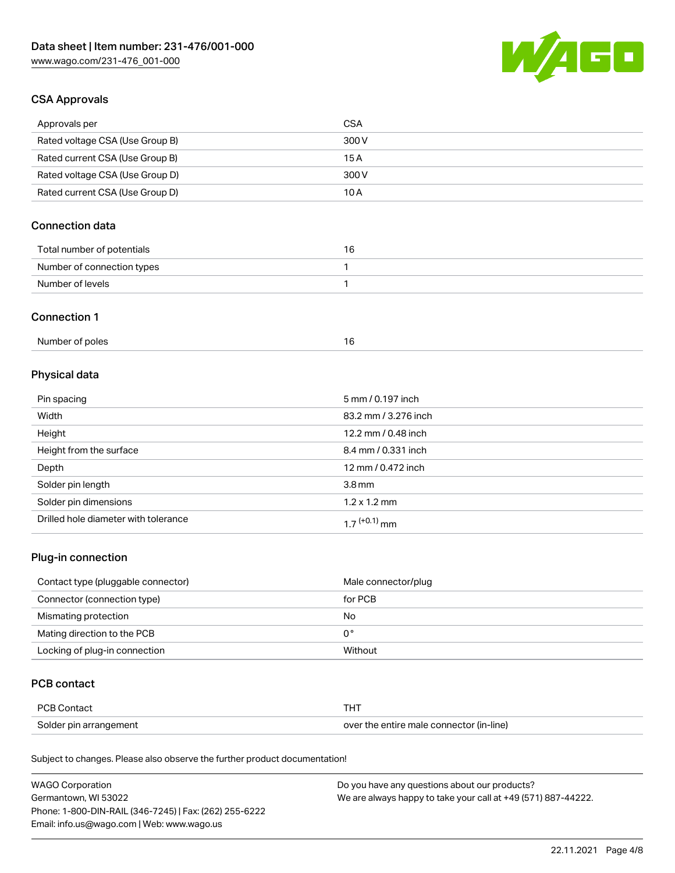

# CSA Approvals

| Approvals per                   | CSA   |
|---------------------------------|-------|
| Rated voltage CSA (Use Group B) | 300 V |
| Rated current CSA (Use Group B) | 15 A  |
| Rated voltage CSA (Use Group D) | 300 V |
| Rated current CSA (Use Group D) | 10 A  |

# Connection data

| Total number of potentials |  |
|----------------------------|--|
| Number of connection types |  |
| Number of levels           |  |

#### Connection 1

| Number of poles |  |
|-----------------|--|
|                 |  |

# Physical data

| Pin spacing                          | 5 mm / 0.197 inch    |
|--------------------------------------|----------------------|
| Width                                | 83.2 mm / 3.276 inch |
| Height                               | 12.2 mm / 0.48 inch  |
| Height from the surface              | 8.4 mm / 0.331 inch  |
| Depth                                | 12 mm / 0.472 inch   |
| Solder pin length                    | 3.8 <sub>mm</sub>    |
| Solder pin dimensions                | $1.2 \times 1.2$ mm  |
| Drilled hole diameter with tolerance | $17^{(+0.1)}$ mm     |

# Plug-in connection

| Contact type (pluggable connector) | Male connector/plug |
|------------------------------------|---------------------|
| Connector (connection type)        | for PCB             |
| Mismating protection               | No                  |
| Mating direction to the PCB        | 0°                  |
| Locking of plug-in connection      | Without             |

# PCB contact

| PCB Contact            |                                          |
|------------------------|------------------------------------------|
| Solder pin arrangement | over the entire male connector (in-line) |

Subject to changes. Please also observe the further product documentation!

| <b>WAGO Corporation</b>                                | Do you have any questions about our products?                 |
|--------------------------------------------------------|---------------------------------------------------------------|
| Germantown, WI 53022                                   | We are always happy to take your call at +49 (571) 887-44222. |
| Phone: 1-800-DIN-RAIL (346-7245)   Fax: (262) 255-6222 |                                                               |
| Email: info.us@wago.com   Web: www.wago.us             |                                                               |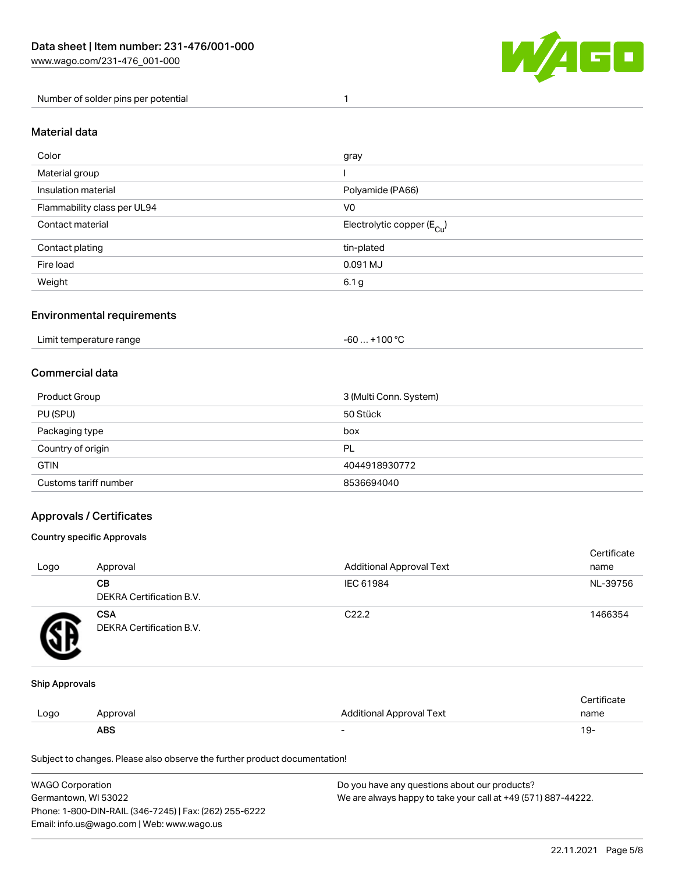

Number of solder pins per potential 1

### Material data

| Color                       | gray                                  |
|-----------------------------|---------------------------------------|
| Material group              |                                       |
| Insulation material         | Polyamide (PA66)                      |
| Flammability class per UL94 | V <sub>0</sub>                        |
| Contact material            | Electrolytic copper $(E_{\text{Cl}})$ |
| Contact plating             | tin-plated                            |
| Fire load                   | 0.091 MJ                              |
| Weight                      | 6.1 <sub>g</sub>                      |

### Environmental requirements

Limit temperature range  $-60... +100$  °C

### Commercial data

| Product Group         | 3 (Multi Conn. System) |
|-----------------------|------------------------|
| PU (SPU)              | 50 Stück               |
| Packaging type        | box                    |
| Country of origin     | PL                     |
| <b>GTIN</b>           | 4044918930772          |
| Customs tariff number | 8536694040             |

### Approvals / Certificates

#### Country specific Approvals

| Logo | Approval                               | <b>Additional Approval Text</b> | Certificate<br>name |
|------|----------------------------------------|---------------------------------|---------------------|
|      | CВ<br>DEKRA Certification B.V.         | IEC 61984                       | NL-39756            |
|      | <b>CSA</b><br>DEKRA Certification B.V. | C <sub>22.2</sub>               | 1466354             |

#### Ship Approvals

|      | ABS     | -                        | -9۰  |
|------|---------|--------------------------|------|
| Logo | pproval | Additional Approval Text | name |
|      |         |                          |      |

Subject to changes. Please also observe the further product documentation!

| WAGO Corporation                                       | Do you have any questions about our products?                 |
|--------------------------------------------------------|---------------------------------------------------------------|
| Germantown, WI 53022                                   | We are always happy to take your call at +49 (571) 887-44222. |
| Phone: 1-800-DIN-RAIL (346-7245)   Fax: (262) 255-6222 |                                                               |
| Email: info.us@wago.com   Web: www.wago.us             |                                                               |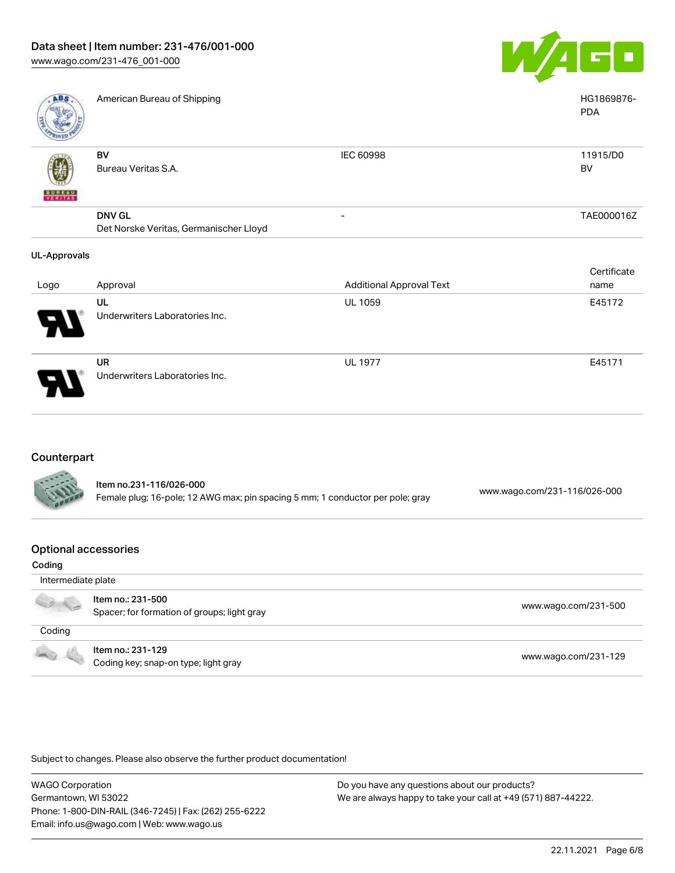

| <b>ABS</b>          | American Bureau of Shipping            |                                 | HG1869876-<br><b>PDA</b> |
|---------------------|----------------------------------------|---------------------------------|--------------------------|
| <b>BUNEAU</b>       | BV<br>Bureau Veritas S.A.              | <b>IEC 60998</b>                | 11915/D0<br>BV           |
|                     | <b>DNV GL</b>                          | -                               | TAE000016Z               |
|                     | Det Norske Veritas, Germanischer Lloyd |                                 |                          |
| <b>UL-Approvals</b> |                                        |                                 |                          |
|                     |                                        |                                 | Certificate              |
| Logo                | Approval                               | <b>Additional Approval Text</b> | name                     |
|                     | UL                                     | <b>UL 1059</b>                  | E45172                   |
|                     | Underwriters Laboratories Inc.         |                                 |                          |
|                     | <b>UR</b>                              | <b>UL 1977</b>                  | E45171                   |
|                     | Underwriters Laboratories Inc.         |                                 |                          |

# **Counterpart**

79

| <b>CALL</b> | Item no.231-116/026-000<br>Female plug; 16-pole; 12 AWG max; pin spacing 5 mm; 1 conductor per pole; gray | www.wago.com/231-116/026-000 |
|-------------|-----------------------------------------------------------------------------------------------------------|------------------------------|
|             |                                                                                                           |                              |

#### Optional accessories

| Coding             |                                                                  |                      |
|--------------------|------------------------------------------------------------------|----------------------|
| Intermediate plate |                                                                  |                      |
|                    | Item no.: 231-500<br>Spacer; for formation of groups; light gray | www.wago.com/231-500 |
| Coding             |                                                                  |                      |
|                    | Item no.: 231-129<br>Coding key; snap-on type; light gray        | www.wago.com/231-129 |

Subject to changes. Please also observe the further product documentation!

WAGO Corporation Germantown, WI 53022 Phone: 1-800-DIN-RAIL (346-7245) | Fax: (262) 255-6222 Email: info.us@wago.com | Web: www.wago.us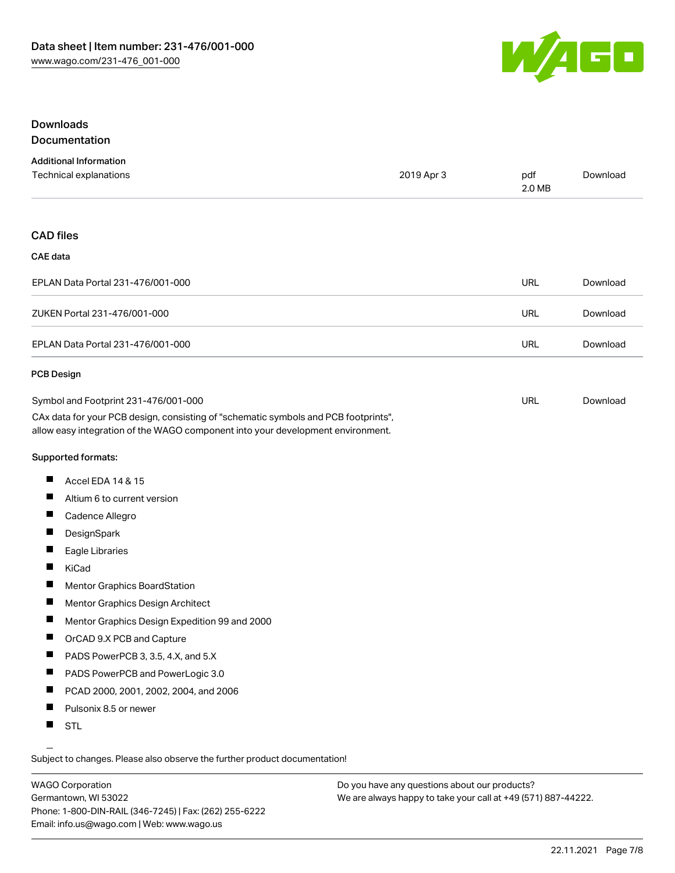

### Downloads Documentation

| <b>Additional Information</b> |            |        |          |
|-------------------------------|------------|--------|----------|
| Technical explanations        | 2019 Apr 3 | pdf    | Download |
|                               |            | 2.0 MB |          |

#### CAD files

#### CAE data

| EPLAN Data Portal 231-476/001-000 | URL | Download |
|-----------------------------------|-----|----------|
| ZUKEN Portal 231-476/001-000      | URL | Download |
| EPLAN Data Portal 231-476/001-000 | URL | Download |

#### PCB Design

| Symbol and Footprint 231-476/001-000                                                | URL | Download |
|-------------------------------------------------------------------------------------|-----|----------|
| CAx data for your PCB design, consisting of "schematic symbols and PCB footprints", |     |          |
| allow easy integration of the WAGO component into your development environment.     |     |          |

Supported formats:

- $\blacksquare$ Accel EDA 14 & 15
- $\blacksquare$ Altium 6 to current version
- $\blacksquare$ Cadence Allegro
- $\blacksquare$ **DesignSpark**
- П Eagle Libraries
- $\blacksquare$ KiCad
- $\blacksquare$ Mentor Graphics BoardStation
- $\blacksquare$ Mentor Graphics Design Architect
- $\blacksquare$ Mentor Graphics Design Expedition 99 and 2000
- $\blacksquare$ OrCAD 9.X PCB and Capture
- $\blacksquare$ PADS PowerPCB 3, 3.5, 4.X, and 5.X
- $\blacksquare$ PADS PowerPCB and PowerLogic 3.0
- $\blacksquare$ PCAD 2000, 2001, 2002, 2004, and 2006
- $\blacksquare$ Pulsonix 8.5 or newer
- $\blacksquare$ STL

Subject to changes. Please also observe the further product documentation!

WAGO Corporation Germantown, WI 53022 Phone: 1-800-DIN-RAIL (346-7245) | Fax: (262) 255-6222 Email: info.us@wago.com | Web: www.wago.us